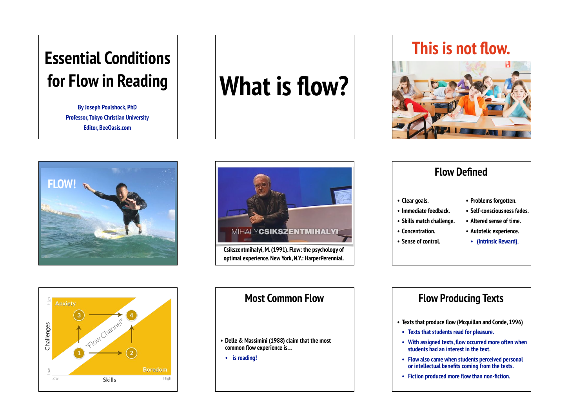## **Essential Conditions for Flow in Reading**

**By Joseph Poulshock, PhD Professor, Tokyo Christian University Editor, BeeOasis.com**

# **What is flow?**







| <b>Flow Defined</b>       |                             |
|---------------------------|-----------------------------|
| • Clear goals.            | • Problems forgotten.       |
| • Immediate feedback.     | · Self-consciousness fades. |
| • Skills match challenge. | • Altered sense of time.    |
| • Concentration.          | • Autotelic experience.     |
| • Sense of control.       | • (Intrinsic Reward).       |



### **Most Common Flow**

**• Delle & Massimini (1988) claim that the most common flow experience is. ..** 

**• is reading!** 

### **Flow Producing Texts**

- **• Texts that produce flow (Mcquillan and Conde, 1996)**
- **• Texts that students read for pleasure.**
- **• With assigned texts, flow occurred more often when students had an interest in the text.**
- **• Flow also came when students perceived personal or intellectual benefits coming from the texts.**
- **• Fiction produced more flow than non-fiction.**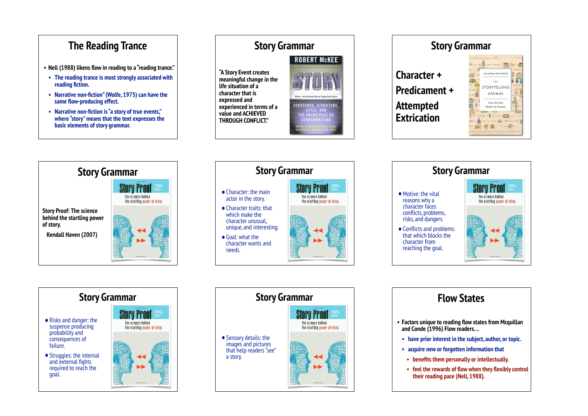### **The Reading Trance**

- **• Nell (1988) likens flow in reading to a "reading trance."**
- **• The reading trance is most strongly associated with reading fiction.**
- **• Narrative non-fiction" (Wolfe, 1975) can have the same flow-producing effect.**
- **• Narrative non-fiction is "a story of true events," where "story" means that the text expresses the basic elements of story grammar.**

### **Story Grammar ROBERT MCKEE "A Story Event creates meaningful change in the life situation of a character that is expressed and SUBSTANCE, STRUCTURE experienced in terms of a value and ACHIEVED**  E PRINCIPLES OF **THROUGH CONFLICT."**









### **Story Grammar**

- •Risks and danger: the suspense producing probability and consequences of failure.
- Struggles: the internal and external fights required to reach the goal.